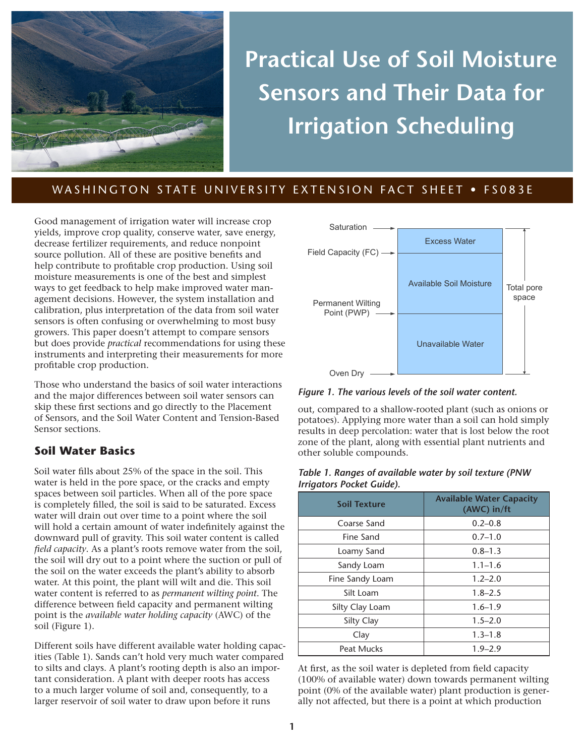

# **Practical Use of Soil Moisture Sensors and Their Data for Irrigation Scheduling**

# WASHINGTON STATE UNIVERSITY EXTENSION FACT SHEET • FS083E

Good management of irrigation water will increase crop yields, improve crop quality, conserve water, save energy, decrease fertilizer requirements, and reduce nonpoint source pollution. All of these are positive benefits and help contribute to profitable crop production. Using soil moisture measurements is one of the best and simplest ways to get feedback to help make improved water management decisions. However, the system installation and calibration, plus interpretation of the data from soil water sensors is often confusing or overwhelming to most busy growers. This paper doesn't attempt to compare sensors but does provide *practical* recommendations for using these instruments and interpreting their measurements for more profitable crop production.

Those who understand the basics of soil water interactions and the major differences between soil water sensors can skip these first sections and go directly to the Placement of Sensors, and the Soil Water Content and Tension-Based Sensor sections.

# **Soil Water Basics**

Soil water fills about 25% of the space in the soil. This water is held in the pore space, or the cracks and empty spaces between soil particles. When all of the pore space is completely filled, the soil is said to be saturated. Excess water will drain out over time to a point where the soil will hold a certain amount of water indefinitely against the downward pull of gravity. This soil water content is called *field capacity*. As a plant's roots remove water from the soil, the soil will dry out to a point where the suction or pull of the soil on the water exceeds the plant's ability to absorb water. At this point, the plant will wilt and die. This soil water content is referred to as *permanent wilting point*. The difference between field capacity and permanent wilting point is the *available water holding capacity* (AWC) of the soil (Figure 1).

Different soils have different available water holding capacities (Table 1). Sands can't hold very much water compared to silts and clays. A plant's rooting depth is also an important consideration. A plant with deeper roots has access to a much larger volume of soil and, consequently, to a larger reservoir of soil water to draw upon before it runs



*Figure 1. The various levels of the soil water content.*

out, compared to a shallow-rooted plant (such as onions or potatoes). Applying more water than a soil can hold simply results in deep percolation: water that is lost below the root zone of the plant, along with essential plant nutrients and other soluble compounds.

#### *Table 1. Ranges of available water by soil texture (PNW Irrigators Pocket Guide).*

| <b>Soil Texture</b> | <b>Available Water Capacity</b><br>(AWC) in/ft |
|---------------------|------------------------------------------------|
| Coarse Sand         | $0.2 - 0.8$                                    |
| Fine Sand           | $0.7 - 1.0$                                    |
| Loamy Sand          | $0.8 - 1.3$                                    |
| Sandy Loam          | $1.1 - 1.6$                                    |
| Fine Sandy Loam     | $1.2 - 2.0$                                    |
| Silt Loam           | $1.8 - 2.5$                                    |
| Silty Clay Loam     | $1.6 - 1.9$                                    |
| Silty Clay          | $1.5 - 2.0$                                    |
| Clay                | $1.3 - 1.8$                                    |
| Peat Mucks          | $1.9 - 2.9$                                    |

At first, as the soil water is depleted from field capacity (100% of available water) down towards permanent wilting point (0% of the available water) plant production is generally not affected, but there is a point at which production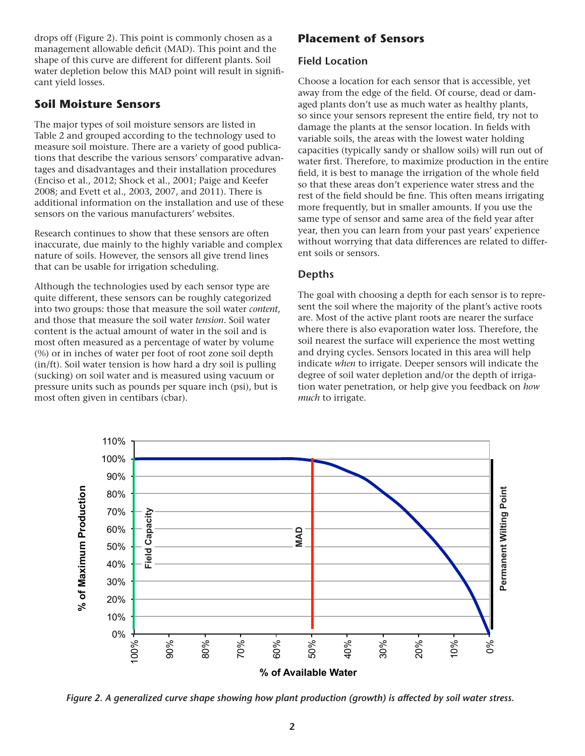drops off (Figure 2). This point is commonly chosen as a management allowable deficit (MAD). This point and the shape of this curve are different for different plants. Soil water depletion below this MAD point will result in significant yield losses.

# **Soil Moisture Sensors**

The major types of soil moisture sensors are listed in Table 2 and grouped according to the technology used to measure soil moisture. There are a variety of good publications that describe the various sensors' comparative advantages and disadvantages and their installation procedures (Enciso et al., 2012; Shock et al., 2001; Paige and Keefer 2008; and Evett et al., 2003, 2007, and 2011). There is additional information on the installation and use of these sensors on the various manufacturers' websites.

Research continues to show that these sensors are often inaccurate, due mainly to the highly variable and complex nature of soils. However, the sensors all give trend lines that can be usable for irrigation scheduling.

Although the technologies used by each sensor type are quite different, these sensors can be roughly categorized into two groups: those that measure the soil water *content*, and those that measure the soil water *tension*. Soil water content is the actual amount of water in the soil and is most often measured as a percentage of water by volume (%) or in inches of water per foot of root zone soil depth (in/ft). Soil water tension is how hard a dry soil is pulling (sucking) on soil water and is measured using vacuum or pressure units such as pounds per square inch (psi), but is most often given in centibars (cbar).

# **Placement of Sensors**

## **Field Location**

Choose a location for each sensor that is accessible, yet away from the edge of the field. Of course, dead or damaged plants don't use as much water as healthy plants, so since your sensors represent the entire field, try not to damage the plants at the sensor location. In fields with variable soils, the areas with the lowest water holding capacities (typically sandy or shallow soils) will run out of water first. Therefore, to maximize production in the entire field, it is best to manage the irrigation of the whole field so that these areas don't experience water stress and the rest of the field should be fine. This often means irrigating more frequently, but in smaller amounts. If you use the same type of sensor and same area of the field year after year, then you can learn from your past years' experience without worrying that data differences are related to different soils or sensors.

# **Depths**

The goal with choosing a depth for each sensor is to represent the soil where the majority of the plant's active roots are. Most of the active plant roots are nearer the surface where there is also evaporation water loss. Therefore, the soil nearest the surface will experience the most wetting and drying cycles. Sensors located in this area will help indicate *when* to irrigate. Deeper sensors will indicate the degree of soil water depletion and/or the depth of irrigation water penetration, or help give you feedback on *how much* to irrigate.



*Figure 2. A generalized curve shape showing how plant production (growth) is affected by soil water stress.*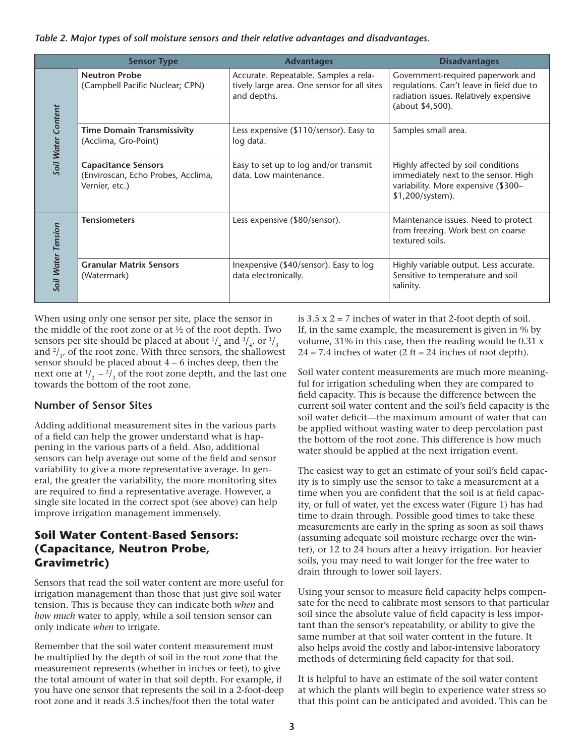*Table 2. Major types of soil moisture sensors and their relative advantages and disadvantages.*

|                    | <b>Sensor Type</b>                                                                 | <b>Advantages</b>                                                                                   | <b>Disadvantages</b>                                                                                                                        |
|--------------------|------------------------------------------------------------------------------------|-----------------------------------------------------------------------------------------------------|---------------------------------------------------------------------------------------------------------------------------------------------|
| Soil Water Content | <b>Neutron Probe</b><br>(Campbell Pacific Nuclear; CPN)                            | Accurate. Repeatable. Samples a rela-<br>tively large area. One sensor for all sites<br>and depths. | Government-required paperwork and<br>regulations. Can't leave in field due to<br>radiation issues. Relatively expensive<br>(about \$4,500). |
|                    | <b>Time Domain Transmissivity</b><br>(Acclima, Gro-Point)                          | Less expensive (\$110/sensor). Easy to<br>log data.                                                 | Samples small area.                                                                                                                         |
|                    | <b>Capacitance Sensors</b><br>(Enviroscan, Echo Probes, Acclima,<br>Vernier, etc.) | Easy to set up to log and/or transmit<br>data. Low maintenance.                                     | Highly affected by soil conditions<br>immediately next to the sensor. High<br>variability. More expensive (\$300-<br>\$1,200/system).       |
| Soil Water Tension | <b>Tensiometers</b>                                                                | Less expensive (\$80/sensor).                                                                       | Maintenance issues. Need to protect<br>from freezing. Work best on coarse<br>textured soils.                                                |
|                    | <b>Granular Matrix Sensors</b><br>(Watermark)                                      | Inexpensive (\$40/sensor). Easy to log<br>data electronically.                                      | Highly variable output. Less accurate.<br>Sensitive to temperature and soil<br>salinity.                                                    |

When using only one sensor per site, place the sensor in the middle of the root zone or at ½ of the root depth. Two sensors per site should be placed at about  $\frac{1}{4}$  and  $\frac{3}{4}$ , or  $\frac{1}{3}$ and  $\frac{2}{3}$ , of the root zone. With three sensors, the shallowest sensor should be placed about 4 – 6 inches deep, then the next one at  $\frac{1}{2}$  –  $\frac{2}{3}$  of the root zone depth, and the last one towards the bottom of the root zone.

#### **Number of Sensor Sites**

Adding additional measurement sites in the various parts of a field can help the grower understand what is happening in the various parts of a field. Also, additional sensors can help average out some of the field and sensor variability to give a more representative average. In general, the greater the variability, the more monitoring sites are required to find a representative average. However, a single site located in the correct spot (see above) can help improve irrigation management immensely.

# **Soil Water Content-Based Sensors: (Capacitance, Neutron Probe, Gravimetric)**

Sensors that read the soil water content are more useful for irrigation management than those that just give soil water tension. This is because they can indicate both *when* and *how much* water to apply, while a soil tension sensor can only indicate *when* to irrigate.

Remember that the soil water content measurement must be multiplied by the depth of soil in the root zone that the measurement represents (whether in inches or feet), to give the total amount of water in that soil depth. For example, if you have one sensor that represents the soil in a 2-foot-deep root zone and it reads 3.5 inches/foot then the total water

is  $3.5 \times 2 = 7$  inches of water in that 2-foot depth of soil. If, in the same example, the measurement is given in % by volume, 31% in this case, then the reading would be 0.31 x  $24 = 7.4$  inches of water (2 ft = 24 inches of root depth).

Soil water content measurements are much more meaningful for irrigation scheduling when they are compared to field capacity. This is because the difference between the current soil water content and the soil's field capacity is the soil water deficit—the maximum amount of water that can be applied without wasting water to deep percolation past the bottom of the root zone. This difference is how much water should be applied at the next irrigation event.

The easiest way to get an estimate of your soil's field capacity is to simply use the sensor to take a measurement at a time when you are confident that the soil is at field capacity, or full of water, yet the excess water (Figure 1) has had time to drain through. Possible good times to take these measurements are early in the spring as soon as soil thaws (assuming adequate soil moisture recharge over the winter), or 12 to 24 hours after a heavy irrigation. For heavier soils, you may need to wait longer for the free water to drain through to lower soil layers.

Using your sensor to measure field capacity helps compensate for the need to calibrate most sensors to that particular soil since the absolute value of field capacity is less important than the sensor's repeatability, or ability to give the same number at that soil water content in the future. It also helps avoid the costly and labor-intensive laboratory methods of determining field capacity for that soil.

It is helpful to have an estimate of the soil water content at which the plants will begin to experience water stress so that this point can be anticipated and avoided. This can be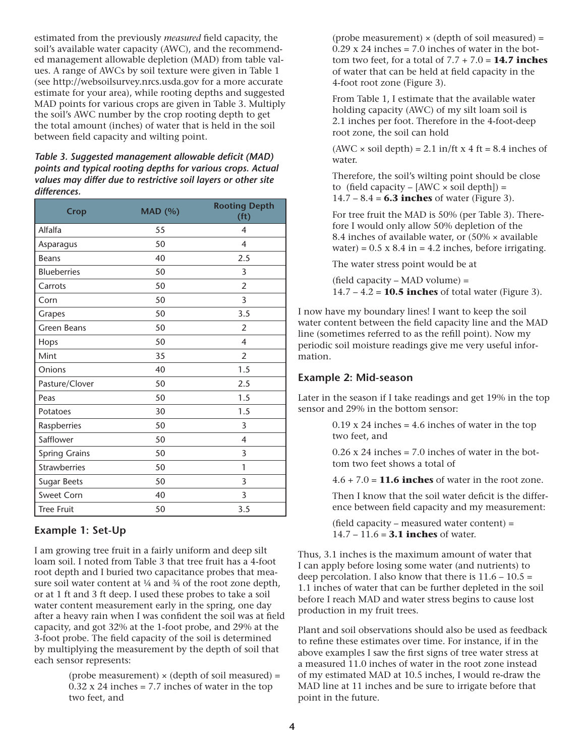estimated from the previously *measured* field capacity, the soil's available water capacity (AWC), and the recommended management allowable depletion (MAD) from table values. A range of AWCs by soil texture were given in Table 1 (see http://websoilsurvey.nrcs.usda.gov for a more accurate estimate for your area), while rooting depths and suggested MAD points for various crops are given in Table 3. Multiply the soil's AWC number by the crop rooting depth to get the total amount (inches) of water that is held in the soil between field capacity and wilting point.

*Table 3. Suggested management allowable deficit (MAD) points and typical rooting depths for various crops. Actual values may differ due to restrictive soil layers or other site differences.*

| <b>Crop</b>          | <b>MAD</b> (%) | <b>Rooting Depth</b><br>(f <sup>t</sup> ) |
|----------------------|----------------|-------------------------------------------|
| Alfalfa              | 55             | $\overline{\mathcal{A}}$                  |
| Asparagus            | 50             | 4                                         |
| <b>Beans</b>         | 40             | 2.5                                       |
| <b>Blueberries</b>   | 50             | 3                                         |
| Carrots              | 50             | $\overline{2}$                            |
| Corn                 | 50             | 3                                         |
| Grapes               | 50             | 3.5                                       |
| <b>Green Beans</b>   | 50             | $\overline{2}$                            |
| Hops                 | 50             | 4                                         |
| Mint                 | 35             | $\overline{2}$                            |
| Onions               | 40             | 1.5                                       |
| Pasture/Clover       | 50             | 2.5                                       |
| Peas                 | 50             | 1.5                                       |
| Potatoes             | 30             | 1.5                                       |
| Raspberries          | 50             | 3                                         |
| Safflower            | 50             | 4                                         |
| <b>Spring Grains</b> | 50             | 3                                         |
| <b>Strawberries</b>  | 50             | 1                                         |
| <b>Sugar Beets</b>   | 50             | 3                                         |
| Sweet Corn           | 40             | 3                                         |
| <b>Tree Fruit</b>    | 50             | 3.5                                       |

## **Example 1: Set-Up**

I am growing tree fruit in a fairly uniform and deep silt loam soil. I noted from Table 3 that tree fruit has a 4-foot root depth and I buried two capacitance probes that measure soil water content at 1/4 and 3/4 of the root zone depth, or at 1 ft and 3 ft deep. I used these probes to take a soil water content measurement early in the spring, one day after a heavy rain when I was confident the soil was at field capacity, and got 32% at the 1-foot probe, and 29% at the 3-foot probe. The field capacity of the soil is determined by multiplying the measurement by the depth of soil that each sensor represents:

> (probe measurement)  $\times$  (depth of soil measured) =  $0.32$  x 24 inches = 7.7 inches of water in the top two feet, and

(probe measurement)  $\times$  (depth of soil measured) =  $0.29$  x 24 inches = 7.0 inches of water in the bottom two feet, for a total of 7.7 + 7.0 = **14.7 inches** of water that can be held at field capacity in the 4-foot root zone (Figure 3).

From Table 1, I estimate that the available water holding capacity (AWC) of my silt loam soil is 2.1 inches per foot. Therefore in the 4-foot-deep root zone, the soil can hold

 $(AWC \times soil depth) = 2.1 in/ft x 4 ft = 8.4 inches of$ water.

Therefore, the soil's wilting point should be close to (field capacity –  $[AWC \times soil depth]$ ) = 14.7 – 8.4 = **6.3 inches** of water (Figure 3).

For tree fruit the MAD is 50% (per Table 3). Therefore I would only allow 50% depletion of the 8.4 inches of available water, or  $(50\% \times \text{available})$ water) =  $0.5 \times 8.4$  in =  $4.2$  inches, before irrigating.

The water stress point would be at

(field capacity – MAD volume) = 14.7 – 4.2 = **10.5 inches** of total water (Figure 3).

I now have my boundary lines! I want to keep the soil water content between the field capacity line and the MAD line (sometimes referred to as the refill point). Now my periodic soil moisture readings give me very useful information.

#### **Example 2: Mid-season**

Later in the season if I take readings and get 19% in the top sensor and 29% in the bottom sensor:

> $0.19$  x 24 inches = 4.6 inches of water in the top two feet, and

 $0.26$  x 24 inches = 7.0 inches of water in the bottom two feet shows a total of

 $4.6 + 7.0 = 11.6$  inches of water in the root zone.

Then I know that the soil water deficit is the difference between field capacity and my measurement:

(field capacity – measured water content) = 14.7 – 11.6 = **3.1 inches** of water.

Thus, 3.1 inches is the maximum amount of water that I can apply before losing some water (and nutrients) to deep percolation. I also know that there is  $11.6 - 10.5 =$ 1.1 inches of water that can be further depleted in the soil before I reach MAD and water stress begins to cause lost production in my fruit trees.

Plant and soil observations should also be used as feedback to refine these estimates over time. For instance, if in the above examples I saw the first signs of tree water stress at a measured 11.0 inches of water in the root zone instead of my estimated MAD at 10.5 inches, I would re-draw the MAD line at 11 inches and be sure to irrigate before that point in the future.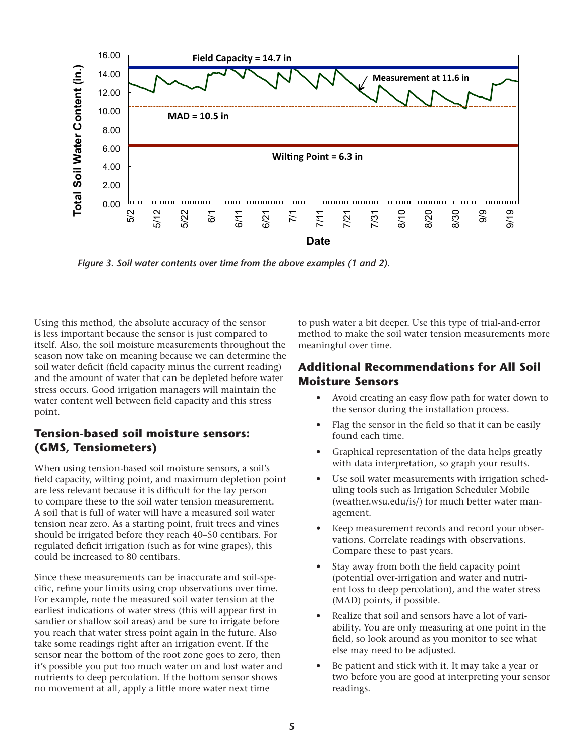

*Figure 3. Soil water contents over time from the above examples (1 and 2).*

Using this method, the absolute accuracy of the sensor is less important because the sensor is just compared to itself. Also, the soil moisture measurements throughout the season now take on meaning because we can determine the soil water deficit (field capacity minus the current reading) and the amount of water that can be depleted before water stress occurs. Good irrigation managers will maintain the water content well between field capacity and this stress point.

# **Tension-based soil moisture sensors: (GMS, Tensiometers)**

When using tension-based soil moisture sensors, a soil's field capacity, wilting point, and maximum depletion point are less relevant because it is difficult for the lay person to compare these to the soil water tension measurement. A soil that is full of water will have a measured soil water tension near zero. As a starting point, fruit trees and vines should be irrigated before they reach 40–50 centibars. For regulated deficit irrigation (such as for wine grapes), this could be increased to 80 centibars.

Since these measurements can be inaccurate and soil-specific, refine your limits using crop observations over time. For example, note the measured soil water tension at the earliest indications of water stress (this will appear first in sandier or shallow soil areas) and be sure to irrigate before you reach that water stress point again in the future. Also take some readings right after an irrigation event. If the sensor near the bottom of the root zone goes to zero, then it's possible you put too much water on and lost water and nutrients to deep percolation. If the bottom sensor shows no movement at all, apply a little more water next time

to push water a bit deeper. Use this type of trial-and-error method to make the soil water tension measurements more meaningful over time.

# **Additional Recommendations for All Soil Moisture Sensors**

- Avoid creating an easy flow path for water down to the sensor during the installation process.
- Flag the sensor in the field so that it can be easily found each time.
- Graphical representation of the data helps greatly with data interpretation, so graph your results.
- Use soil water measurements with irrigation scheduling tools such as Irrigation Scheduler Mobile (weather.wsu.edu/is/) for much better water management.
- Keep measurement records and record your observations. Correlate readings with observations. Compare these to past years.
- Stay away from both the field capacity point (potential over-irrigation and water and nutrient loss to deep percolation), and the water stress (MAD) points, if possible.
- Realize that soil and sensors have a lot of variability. You are only measuring at one point in the field, so look around as you monitor to see what else may need to be adjusted.
- Be patient and stick with it. It may take a year or two before you are good at interpreting your sensor readings.